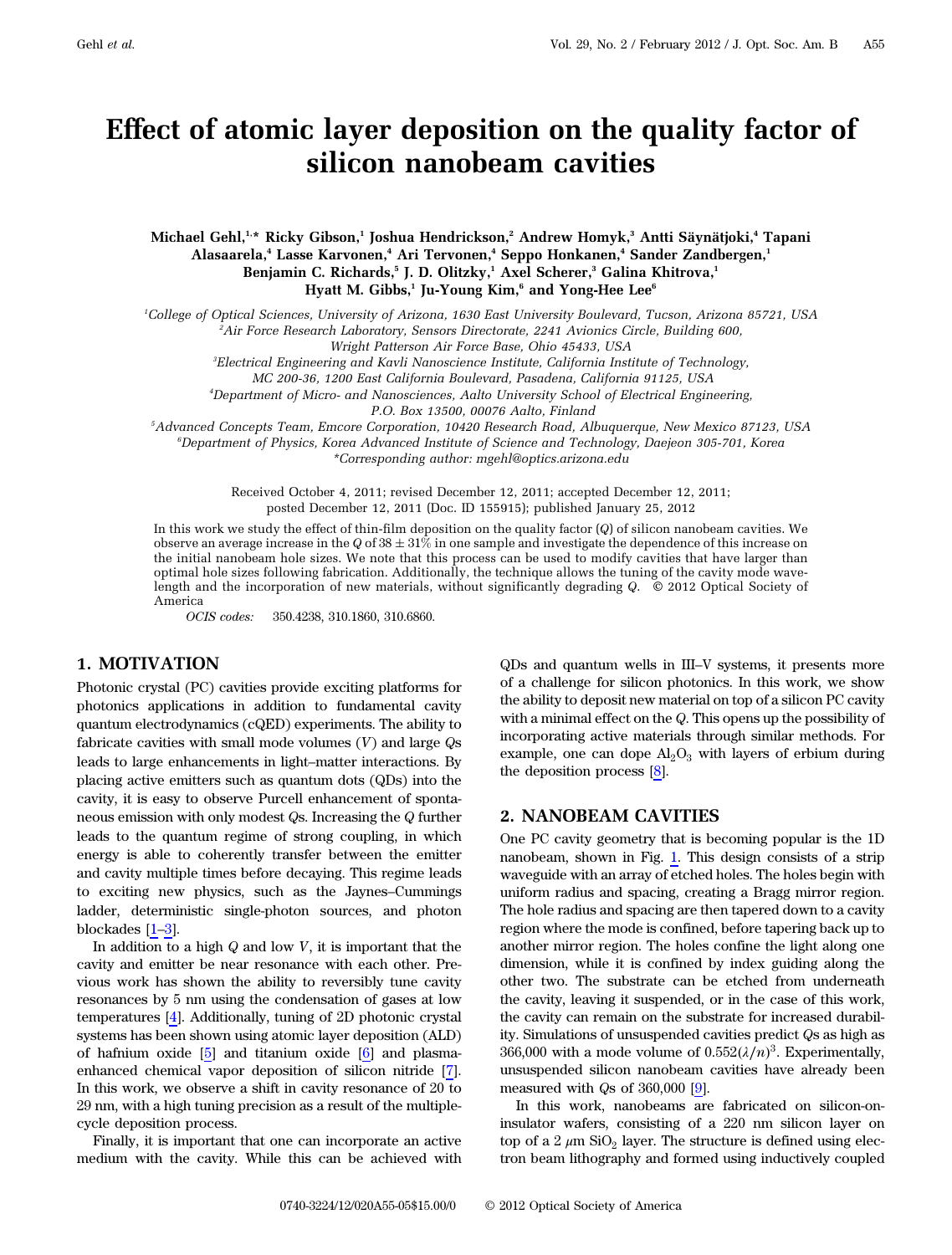# Effect of atomic layer deposition on the quality factor of silicon nanobeam cavities

Michael Gehl,<sup>1,\*</sup> Ricky Gibson,<sup>1</sup> Joshua Hendrickson,<sup>2</sup> Andrew Homyk,<sup>3</sup> Antti Säynätjoki,<sup>4</sup> Tapani Alasaarela,<sup>4</sup> Lasse Karvonen,<sup>4</sup> Ari Tervonen,<sup>4</sup> Seppo Honkanen,<sup>4</sup> Sander Zandbergen,<sup>1</sup> Benjamin C. Richards,<sup>5</sup> J. D. Olitzky,<sup>1</sup> Axel Scherer,<sup>3</sup> Galina Khitrova,<sup>1</sup> Hyatt M. Gibbs,<sup>1</sup> Ju-Young Kim, $^6$  and Yong-Hee Lee $^6$ 

1 College of Optical Sciences, University of Arizona, 1630 East University Boulevard, Tucson, Arizona 85721, USA

2 Air Force Research Laboratory, Sensors Directorate, 2241 Avionics Circle, Building 600,

3 Electrical Engineering and Kavli Nanoscience Institute, California Institute of Technology,

MC 200-36, 1200 East California Boulevard, Pasadena, California 91125, USA

4 Department of Micro- and Nanosciences, Aalto University School of Electrical Engineering,

P.O. Box 13500, 00076 Aalto, Finland

5 Advanced Concepts Team, Emcore Corporation, 10420 Research Road, Albuquerque, New Mexico 87123, USA

6 Department of Physics, Korea Advanced Institute of Science and Technology, Daejeon 305-701, Korea \*Corresponding author: mgehl@optics.arizona.edu

Received October 4, 2011; revised December 12, 2011; accepted December 12, 2011; posted December 12, 2011 (Doc. ID 155915); published January 25, 2012

In this work we study the effect of thin-film deposition on the quality factor (Q) of silicon nanobeam cavities. We observe an average increase in the Q of  $38 \pm 31\%$  in one sample and investigate the dependence of this increase on the initial nanobeam hole sizes. We note that this process can be used to modify cavities that have larger than optimal hole sizes following fabrication. Additionally, the technique allows the tuning of the cavity mode wavelength and the incorporation of new materials, without significantly degrading Q. © 2012 Optical Society of America

OCIS codes: 350.4238, 310.1860, 310.6860.

## 1. MOTIVATION

Photonic crystal (PC) cavities provide exciting platforms for photonics applications in addition to fundamental cavity quantum electrodynamics (cQED) experiments. The ability to fabricate cavities with small mode volumes  $(V)$  and large  $\mathbb{Q}s$ leads to large enhancements in light–matter interactions. By placing active emitters such as quantum dots (QDs) into the cavity, it is easy to observe Purcell enhancement of spontaneous emission with only modest Qs. Increasing the Q further leads to the quantum regime of strong coupling, in which energy is able to coherently transfer between the emitter and cavity multiple times before decaying. This regime leads to exciting new physics, such as the Jaynes–Cummings ladder, deterministic single-photon sources, and photon blockades [[1](#page-4-0)–[3](#page-4-1)].

In addition to a high  $Q$  and low  $V$ , it is important that the cavity and emitter be near resonance with each other. Previous work has shown the ability to reversibly tune cavity resonances by 5 nm using the condensation of gases at low temperatures [[4](#page-4-2)]. Additionally, tuning of 2D photonic crystal systems has been shown using atomic layer deposition (ALD) of hafnium oxide [[5\]](#page-4-3) and titanium oxide [\[6\]](#page-4-4) and plasmaenhanced chemical vapor deposition of silicon nitride [\[7\]](#page-4-5). In this work, we observe a shift in cavity resonance of 20 to 29 nm, with a high tuning precision as a result of the multiplecycle deposition process.

Finally, it is important that one can incorporate an active medium with the cavity. While this can be achieved with

QDs and quantum wells in III–V systems, it presents more of a challenge for silicon photonics. In this work, we show the ability to deposit new material on top of a silicon PC cavity with a minimal effect on the Q. This opens up the possibility of incorporating active materials through similar methods. For example, one can dope  $\text{Al}_2\text{O}_3$  with layers of erbium during the deposition process [\[8\]](#page-4-6).

#### 2. NANOBEAM CAVITIES

One PC cavity geometry that is becoming popular is the 1D nanobeam, shown in Fig. [1.](#page-1-0) This design consists of a strip waveguide with an array of etched holes. The holes begin with uniform radius and spacing, creating a Bragg mirror region. The hole radius and spacing are then tapered down to a cavity region where the mode is confined, before tapering back up to another mirror region. The holes confine the light along one dimension, while it is confined by index guiding along the other two. The substrate can be etched from underneath the cavity, leaving it suspended, or in the case of this work, the cavity can remain on the substrate for increased durability. Simulations of unsuspended cavities predict Qs as high as  $366,000$  with a mode volume of  $0.552(\lambda/n)^3$ . Experimentally, unsuspended silicon nanobeam cavities have already been measured with Qs of 360,000 [[9](#page-4-7)].

In this work, nanobeams are fabricated on silicon-oninsulator wafers, consisting of a 220 nm silicon layer on top of a 2  $\mu$ m SiO<sub>2</sub> layer. The structure is defined using electron beam lithography and formed using inductively coupled

Wright Patterson Air Force Base, Ohio 45433, USA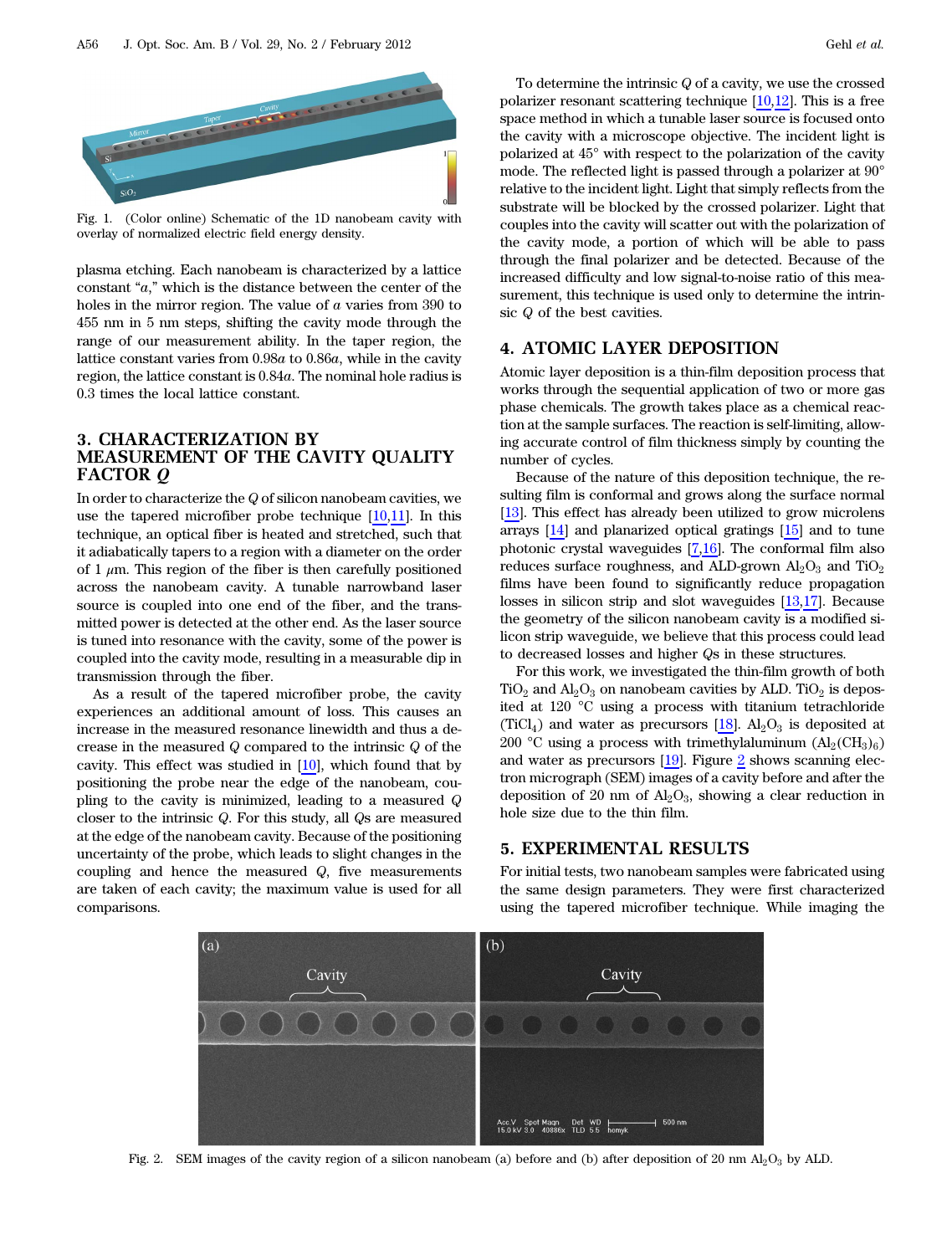<span id="page-1-0"></span>

Fig. 1. (Color online) Schematic of the 1D nanobeam cavity with overlay of normalized electric field energy density.

plasma etching. Each nanobeam is characterized by a lattice constant "a," which is the distance between the center of the holes in the mirror region. The value of a varies from 390 to 455 nm in 5 nm steps, shifting the cavity mode through the range of our measurement ability. In the taper region, the lattice constant varies from 0.98a to 0.86a, while in the cavity region, the lattice constant is 0.84a. The nominal hole radius is 0.3 times the local lattice constant.

## 3. CHARACTERIZATION BY MEASUREMENT OF THE CAVITY QUALITY FACTOR *Q*

In order to characterize the Q of silicon nanobeam cavities, we use the tapered microfiber probe technique  $[10,11]$  $[10,11]$  $[10,11]$ . In this technique, an optical fiber is heated and stretched, such that it adiabatically tapers to a region with a diameter on the order of 1  $\mu$ m. This region of the fiber is then carefully positioned across the nanobeam cavity. A tunable narrowband laser source is coupled into one end of the fiber, and the transmitted power is detected at the other end. As the laser source is tuned into resonance with the cavity, some of the power is coupled into the cavity mode, resulting in a measurable dip in transmission through the fiber.

As a result of the tapered microfiber probe, the cavity experiences an additional amount of loss. This causes an increase in the measured resonance linewidth and thus a decrease in the measured Q compared to the intrinsic Q of the cavity. This effect was studied in  $[10]$  $[10]$ , which found that by positioning the probe near the edge of the nanobeam, coupling to the cavity is minimized, leading to a measured Q closer to the intrinsic Q. For this study, all Qs are measured at the edge of the nanobeam cavity. Because of the positioning uncertainty of the probe, which leads to slight changes in the coupling and hence the measured  $Q$ , five measurements are taken of each cavity; the maximum value is used for all comparisons.

To determine the intrinsic Q of a cavity, we use the crossed polarizer resonant scattering technique [\[10](#page-4-8)[,12](#page-4-10)]. This is a free space method in which a tunable laser source is focused onto the cavity with a microscope objective. The incident light is polarized at 45° with respect to the polarization of the cavity mode. The reflected light is passed through a polarizer at 90° relative to the incident light. Light that simply reflects from the substrate will be blocked by the crossed polarizer. Light that couples into the cavity will scatter out with the polarization of the cavity mode, a portion of which will be able to pass through the final polarizer and be detected. Because of the increased difficulty and low signal-to-noise ratio of this measurement, this technique is used only to determine the intrinsic Q of the best cavities.

## 4. ATOMIC LAYER DEPOSITION

Atomic layer deposition is a thin-film deposition process that works through the sequential application of two or more gas phase chemicals. The growth takes place as a chemical reaction at the sample surfaces. The reaction is self-limiting, allowing accurate control of film thickness simply by counting the number of cycles.

Because of the nature of this deposition technique, the resulting film is conformal and grows along the surface normal [[13\]](#page-4-11). This effect has already been utilized to grow microlens arrays [\[14](#page-4-12)] and planarized optical gratings [\[15](#page-4-13)] and to tune photonic crystal waveguides [[7](#page-4-5)[,16](#page-4-14)]. The conformal film also reduces surface roughness, and ALD-grown  $\text{Al}_2\text{O}_3$  and  $\text{TiO}_2$ films have been found to significantly reduce propagation losses in silicon strip and slot waveguides [\[13](#page-4-11)[,17](#page-4-15)]. Because the geometry of the silicon nanobeam cavity is a modified silicon strip waveguide, we believe that this process could lead to decreased losses and higher Qs in these structures.

For this work, we investigated the thin-film growth of both  $TiO<sub>2</sub>$  and  $Al<sub>2</sub>O<sub>3</sub>$  on nanobeam cavities by ALD. TiO<sub>2</sub> is deposited at 120 °C using a process with titanium tetrachloride (TiCl<sub>4</sub>) and water as precursors [\[18](#page-4-16)].  $Al_2O_3$  is deposited at 200 °C using a process with trimethylaluminum  $(Al_2(CH_3)_6)$ and water as precursors [[19\]](#page-4-17). Figure [2](#page-1-1) shows scanning electron micrograph (SEM) images of a cavity before and after the deposition of 20 nm of  $Al_2O_3$ , showing a clear reduction in hole size due to the thin film.

## 5. EXPERIMENTAL RESULTS

For initial tests, two nanobeam samples were fabricated using the same design parameters. They were first characterized using the tapered microfiber technique. While imaging the

<span id="page-1-1"></span>

Fig. 2. SEM images of the cavity region of a silicon nanobeam (a) before and (b) after deposition of 20 nm  $Al_2O_3$  by ALD.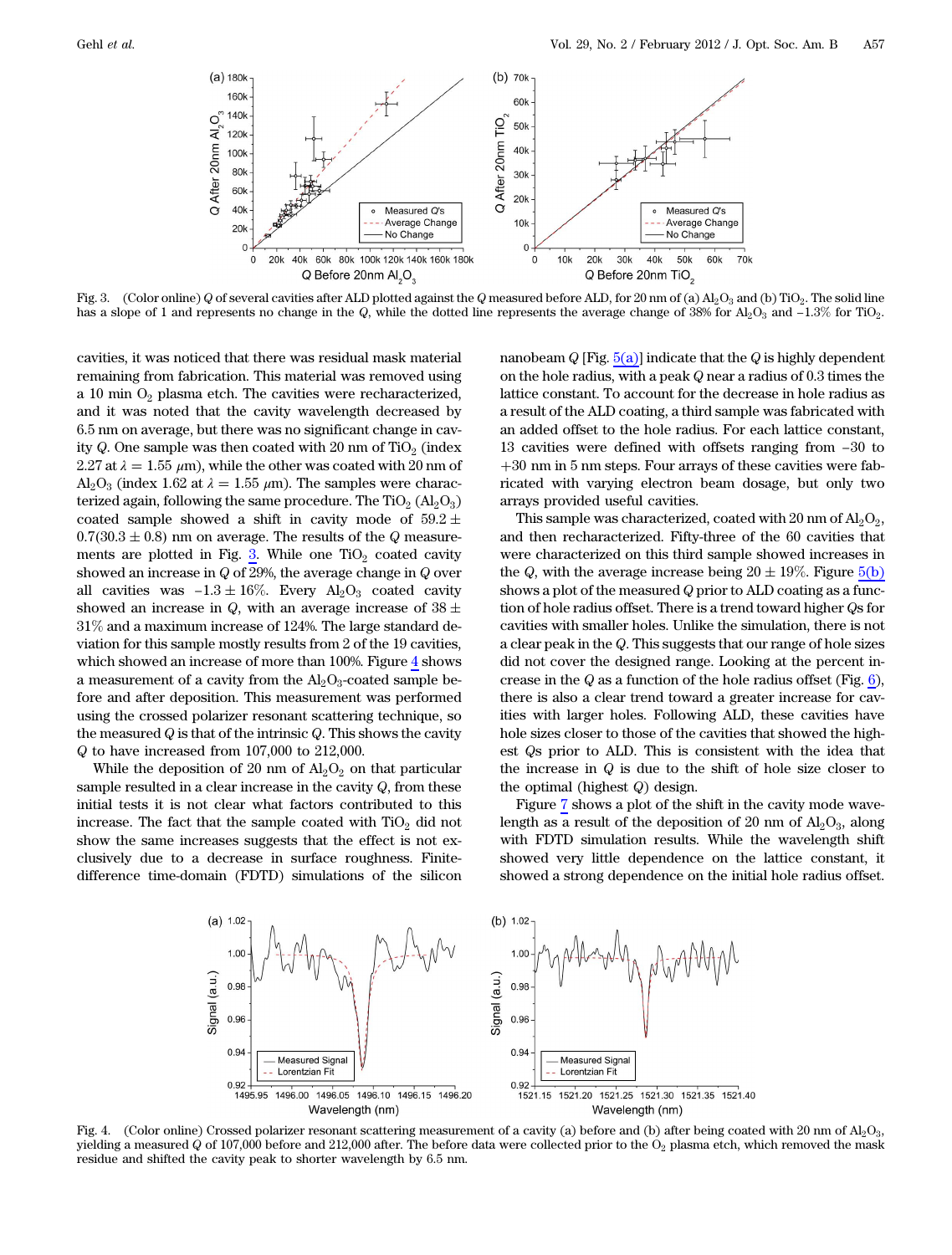<span id="page-2-0"></span>

Fig. 3. (Color online) Q of several cavities after ALD plotted against the Q measured before ALD, for 20 nm of (a) Al<sub>2</sub>O<sub>3</sub> and (b) TiO<sub>2</sub>. The solid line

cavities, it was noticed that there was residual mask material remaining from fabrication. This material was removed using a 10 min  $O_2$  plasma etch. The cavities were recharacterized, and it was noted that the cavity wavelength decreased by 6.5 nm on average, but there was no significant change in cavity Q. One sample was then coated with 20 nm of  $TiO<sub>2</sub>$  (index 2.27 at  $\lambda = 1.55 \mu m$ , while the other was coated with 20 nm of  $Al_2O_3$  (index 1.62 at  $\lambda = 1.55 \ \mu m$ ). The samples were characterized again, following the same procedure. The  $TiO<sub>2</sub> (Al<sub>2</sub>O<sub>3</sub>)$ coated sample showed a shift in cavity mode of  $59.2 \pm$  $0.7(30.3 \pm 0.8)$  nm on average. The results of the Q measurements are plotted in Fig. <u>3</u>. While one TiO<sub>2</sub> coated cavity showed an increase in Q of 29%, the average change in Q over  $0.7(30.3 \pm 0.8)$  nm on average. The results of the  $Q$  measurements are plotted in Fig. 3. While one TiO<sub>2</sub> coated cavity showed an increase in  $Q$  of 29%, the average change in  $Q$  over all cavities was  $-1.3 \pm 16\%$ . E showed an increase in Q, with an average increase of  $38 \pm$ 31% and a maximum increase of 124%. The large standard deviation for this sample mostly results from 2 of the 19 cavities, which showed an increase of more than 100%. Figure [4](#page-2-1) shows a measurement of a cavity from the  $\text{Al}_2\text{O}_3$ -coated sample before and after deposition. This measurement was performed using the crossed polarizer resonant scattering technique, so the measured  $Q$  is that of the intrinsic  $Q$ . This shows the cavity Q to have increased from 107,000 to 212,000.

While the deposition of 20 nm of  $\text{Al}_2\text{O}_2$  on that particular sample resulted in a clear increase in the cavity  $Q$ , from these initial tests it is not clear what factors contributed to this increase. The fact that the sample coated with  $TiO<sub>2</sub>$  did not show the same increases suggests that the effect is not exclusively due to a decrease in surface roughness. Finitedifference time-domain (FDTD) simulations of the silicon nanobeam  $Q$  [Fig.  $5(a)$ ] indicate that the  $Q$  is highly dependent on the hole radius, with a peak Q near a radius of 0.3 times the lattice constant. To account for the decrease in hole radius as<br>a result of the ALD coating, a third sample was fabricated with<br>an added offset to the hole radius. For each lattice constant,<br>13 cavities were defined with a result of the ALD coating, a third sample was fabricated with an added offset to the hole radius. For each lattice constant, 30 nm in 5 nm steps. Four arrays of these cavities were fabricated with varying electron beam dosage, but only two arrays provided useful cavities.

This sample was characterized, coated with 20 nm of  $\text{Al}_2\text{O}_2$ , and then recharacterized. Fifty-three of the 60 cavities that were characterized on this third sample showed increases in the Q, with the average increase being  $20 \pm 19\%$ . Figure  $5(b)$ shows a plot of the measured Q prior to ALD coating as a function of hole radius offset. There is a trend toward higher Qs for cavities with smaller holes. Unlike the simulation, there is not a clear peak in the Q. This suggests that our range of hole sizes did not cover the designed range. Looking at the percent increase in the Q as a function of the hole radius offset (Fig.  $6$ ), there is also a clear trend toward a greater increase for cavities with larger holes. Following ALD, these cavities have hole sizes closer to those of the cavities that showed the highest Qs prior to ALD. This is consistent with the idea that the increase in  $Q$  is due to the shift of hole size closer to the optimal (highest Q) design.

Figure [7](#page-3-2) shows a plot of the shift in the cavity mode wavelength as a result of the deposition of 20 nm of  $Al_2O_3$ , along with FDTD simulation results. While the wavelength shift showed very little dependence on the lattice constant, it showed a strong dependence on the initial hole radius offset.

<span id="page-2-1"></span>

Fig. 4. (Color online) Crossed polarizer resonant scattering measurement of a cavity (a) before and (b) after being coated with 20 nm of  $Al_2O_3$ , yielding a measured Q of 107,000 before and 212,000 after. The before data were collected prior to the  $O<sub>2</sub>$  plasma etch, which removed the mask residue and shifted the cavity peak to shorter wavelength by 6.5 nm.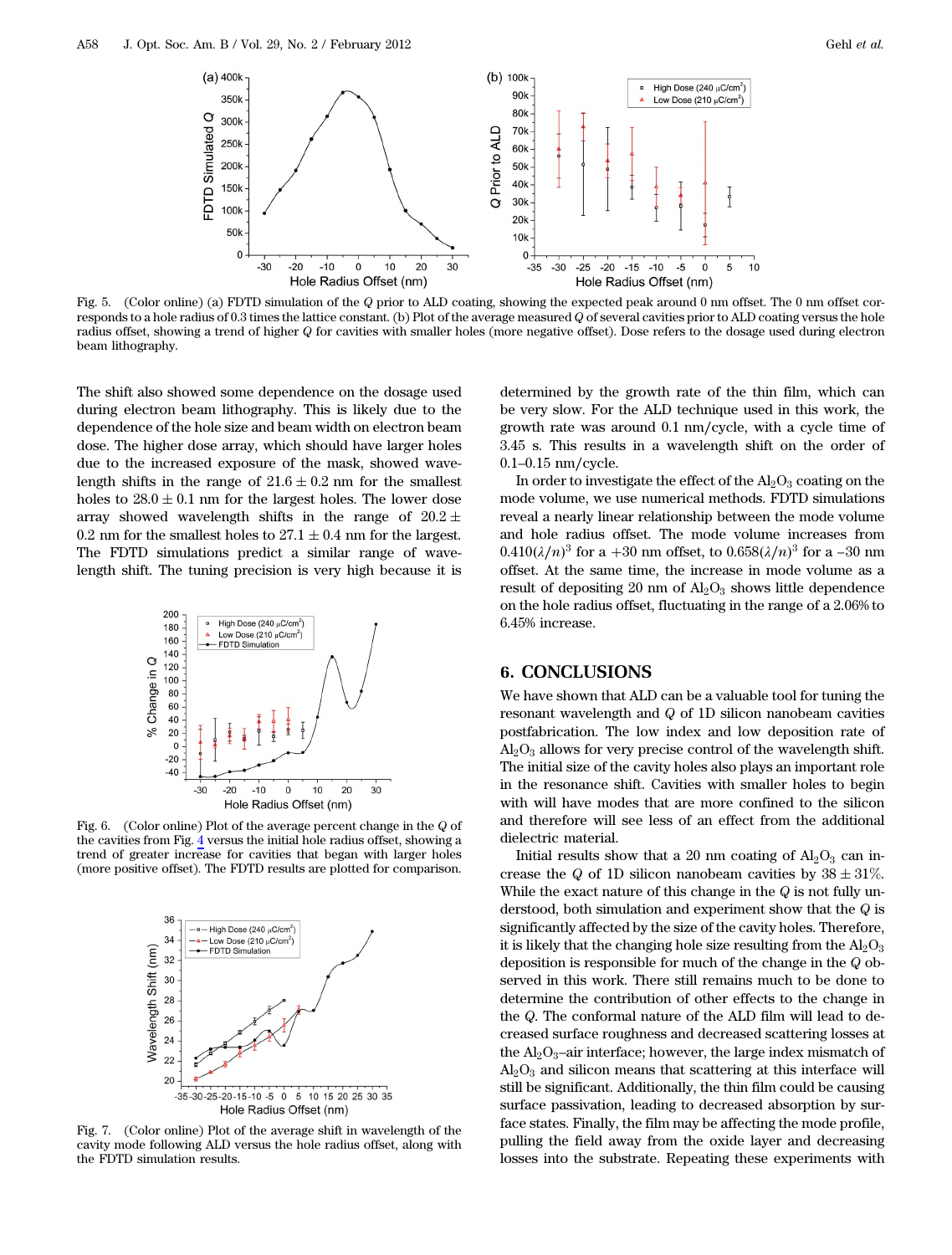<span id="page-3-0"></span>

Fig. 5. (Color online) (a) FDTD simulation of the Q prior to ALD coating, showing the expected peak around 0 nm offset. The 0 nm offset corresponds to a hole radius of 0.3 times the lattice constant. (b) Plot of the average measured Q of several cavities prior to ALD coating versus the hole radius offset, showing a trend of higher Q for cavities with smaller holes (more negative offset). Dose refers to the dosage used during electron beam lithography.

The shift also showed some dependence on the dosage used during electron beam lithography. This is likely due to the dependence of the hole size and beam width on electron beam dose. The higher dose array, which should have larger holes due to the increased exposure of the mask, showed wavelength shifts in the range of  $21.6 \pm 0.2$  nm for the smallest holes to  $28.0 \pm 0.1$  nm for the largest holes. The lower dose array showed wavelength shifts in the range of  $20.2 \pm$ 0.2 nm for the smallest holes to  $27.1 \pm 0.4$  nm for the largest. The FDTD simulations predict a similar range of wavelength shift. The tuning precision is very high because it is

<span id="page-3-1"></span>

Fig. 6. (Color online) Plot of the average percent change in the Q of the cavities from Fig. [4](#page-2-1) versus the initial hole radius offset, showing a trend of greater increase for cavities that began with larger holes (more positive offset). The FDTD results are plotted for comparison.

<span id="page-3-2"></span>

Fig. 7. (Color online) Plot of the average shift in wavelength of the cavity mode following ALD versus the hole radius offset, along with the FDTD simulation results.

determined by the growth rate of the thin film, which can be very slow. For the ALD technique used in this work, the growth rate was around 0.1 nm∕cycle, with a cycle time of

<sup>0</sup>.1–0.<sup>15</sup> nm∕cycle. In order to investigate the effect of the  $Al_2O_3$  coating on the mode volume, we use numerical methods. FDTD simulations<br>reveal a nearly linear relationship between the mode volume<br>and hole radius offset. The mode volume increases from<br>0.410( $\lambda/n$ )<sup>3</sup> for a +30 nm offset, to 0.658( $\lambda/n$ reveal a nearly linear relationship between the mode volume and hole radius offset. The mode volume increases from  $0.410(\lambda/n)^3$  for a +30 nm offset, to 0.658( offset. At the same time, the increase in mode volume as a result of depositing 20 nm of  $\text{Al}_2\text{O}_3$  shows little dependence on the hole radius offset, fluctuating in the range of a 2.06% to 6.45% increase.

3.45 s. This results in a wavelength shift on the order of

## 6. CONCLUSIONS

We have shown that ALD can be a valuable tool for tuning the resonant wavelength and Q of 1D silicon nanobeam cavities postfabrication. The low index and low deposition rate of  $Al_2O_3$  allows for very precise control of the wavelength shift. The initial size of the cavity holes also plays an important role in the resonance shift. Cavities with smaller holes to begin with will have modes that are more confined to the silicon and therefore will see less of an effect from the additional dielectric material.

Initial results show that a 20 nm coating of  $\text{Al}_2\text{O}_3$  can increase the Q of 1D silicon nanobeam cavities by  $38 \pm 31\%$ . While the exact nature of this change in the  $Q$  is not fully understood, both simulation and experiment show that the Q is significantly affected by the size of the cavity holes. Therefore, it is likely that the changing hole size resulting from the  $Al_2O_3$ deposition is responsible for much of the change in the Q observed in this work. There still remains much to be done to determine the contribution of other effects to the change in the Q. The conformal nature of the ALD film will lead to decreased surface roughness and decreased scattering losses at the  $\text{Al}_2\text{O}_3$ -air interface; however, the large index mismatch of  $Al<sub>2</sub>O<sub>3</sub>$  and silicon means that scattering at this interface will still be significant. Additionally, the thin film could be causing surface passivation, leading to decreased absorption by surface states. Finally, the film may be affecting the mode profile, pulling the field away from the oxide layer and decreasing losses into the substrate. Repeating these experiments with